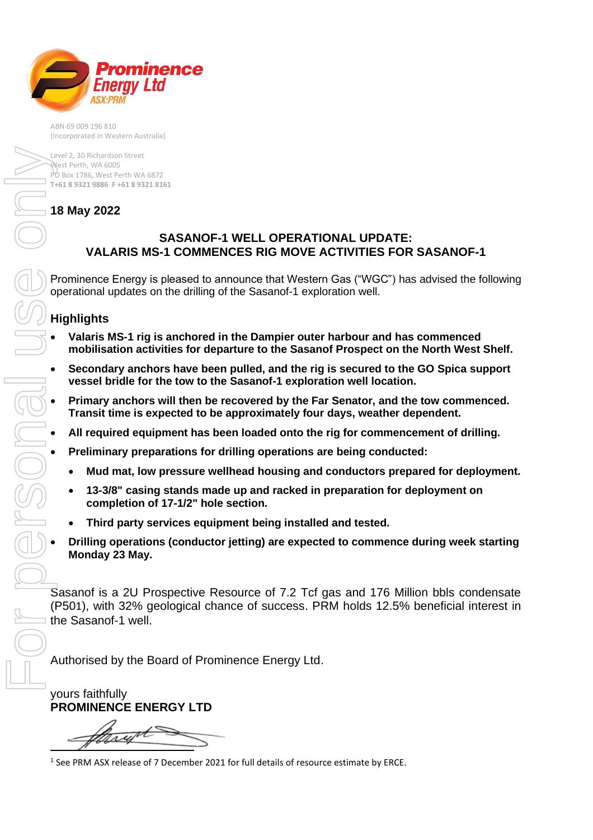

ABN 69 009 196 810 (Incorporated in Western Australia)

Level 2, 30 Richardson Street West Perth, WA 6005 PO Box 1786, West Perth WA 6872 **T+61 8 9321 9886 F +61 8 9321 8161**

## **18 May 2022**

## **SASANOF-1 WELL OPERATIONAL UPDATE: VALARIS MS-1 COMMENCES RIG MOVE ACTIVITIES FOR SASANOF-1**

Prominence Energy is pleased to announce that Western Gas ("WGC") has advised the following operational updates on the drilling of the Sasanof-1 exploration well.

## **Highlights**

- **Valaris MS-1 rig is anchored in the Dampier outer harbour and has commenced mobilisation activities for departure to the Sasanof Prospect on the North West Shelf.**
- **Secondary anchors have been pulled, and the rig is secured to the GO Spica support vessel bridle for the tow to the Sasanof-1 exploration well location.**
- **Primary anchors will then be recovered by the Far Senator, and the tow commenced. Transit time is expected to be approximately four days, weather dependent.**
- **All required equipment has been loaded onto the rig for commencement of drilling.**
- **Preliminary preparations for drilling operations are being conducted:**
	- **Mud mat, low pressure wellhead housing and conductors prepared for deployment.**
	- **13-3/8" casing stands made up and racked in preparation for deployment on completion of 17-1/2" hole section.**
	- **Third party services equipment being installed and tested.**
- **Drilling operations (conductor jetting) are expected to commence during week starting Monday 23 May.**

Sasanof is a 2U Prospective Resource of 7.2 Tcf gas and 176 Million bbls condensate (P501), with 32% geological chance of success. PRM holds 12.5% beneficial interest in the Sasanof-1 well.

Authorised by the Board of Prominence Energy Ltd.

yours faithfully **PROMINENCE ENERGY LTD**

<sup>&</sup>lt;sup>1</sup> See PRM ASX release of 7 December 2021 for full details of resource estimate by ERCE.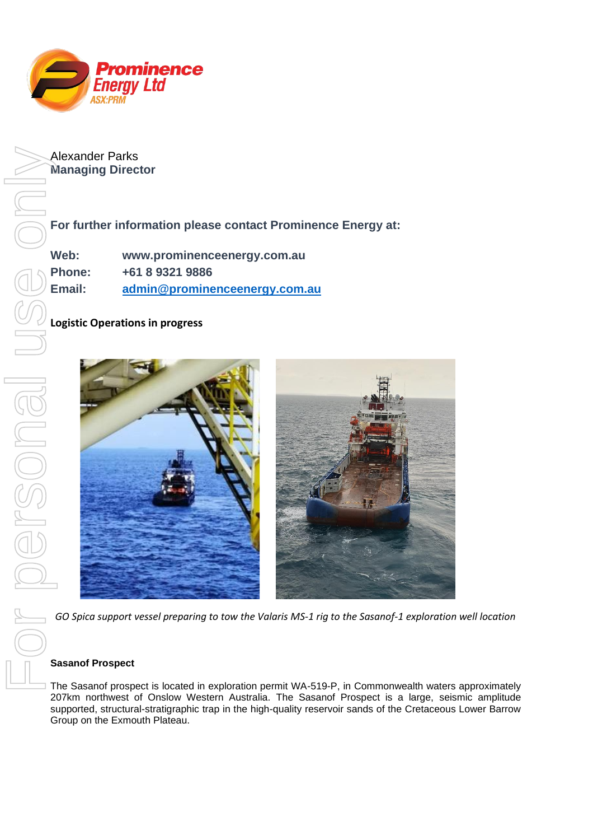

Alexander Parks **Managing Director**

**For further information please contact Prominence Energy at:** 

**Web: www.prominenceenergy.com.au Phone: +61 8 9321 9886 Email: [admin@prominenceenergy.com.au](mailto:admin@prominenceenergy.com.au)**

**Logistic Operations in progress**



## **Sasanof Prospect**

The Sasanof prospect is located in exploration permit WA-519-P, in Commonwealth waters approximately 207km northwest of Onslow Western Australia. The Sasanof Prospect is a large, seismic amplitude supported, structural-stratigraphic trap in the high-quality reservoir sands of the Cretaceous Lower Barrow Group on the Exmouth Plateau.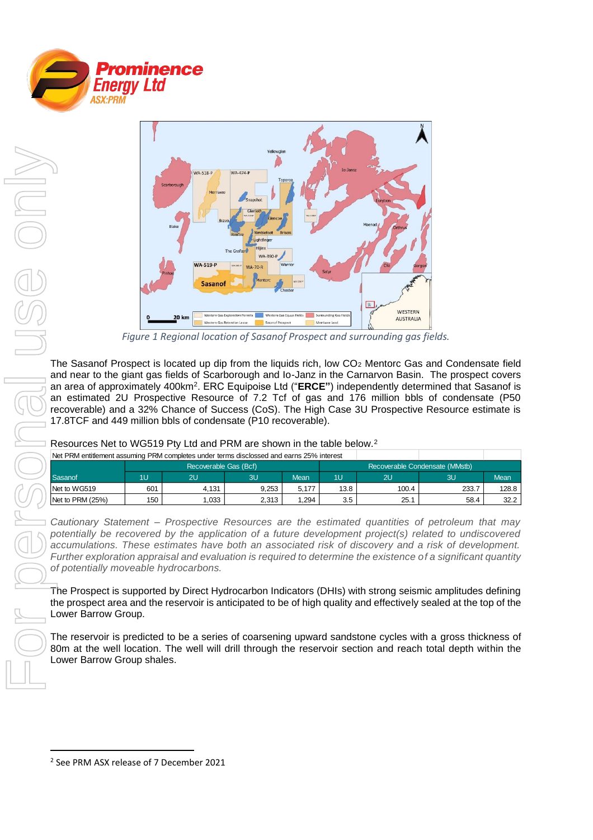



*Figure 1 Regional location of Sasanof Prospect and surrounding gas fields.*

The Sasanof Prospect is located up dip from the liquids rich, low CO<sub>2</sub> Mentorc Gas and Condensate field and near to the giant gas fields of Scarborough and Io-Janz in the Carnarvon Basin. The prospect covers an area of approximately 400km<sup>2</sup> . ERC Equipoise Ltd ("**ERCE"**) independently determined that Sasanof is an estimated 2U Prospective Resource of 7.2 Tcf of gas and 176 million bbls of condensate (P50 recoverable) and a 32% Chance of Success (CoS). The High Case 3U Prospective Resource estimate is 17.8TCF and 449 million bbls of condensate (P10 recoverable).

Resources Net to WG519 Pty Ltd and PRM are shown in the table below.<sup>2</sup>

| Net PRM entitlement assuming PRM completes under terms disclossed and earns 25% interest |                       |       |       |             |                                |                |       |       |
|------------------------------------------------------------------------------------------|-----------------------|-------|-------|-------------|--------------------------------|----------------|-------|-------|
|                                                                                          | Recoverable Gas (Bcf) |       |       |             | Recoverable Condensate (MMstb) |                |       |       |
| Sasanof                                                                                  | 1U                    | 2U    | 3U    | <b>Mean</b> | 1U                             | 2 <sub>u</sub> | 3U    | Mean  |
| Net to WG519                                                                             | 601                   | 4.131 | 9.253 | 5.177       | 13.8                           | 100.4          | 233.7 | 128.8 |
| Net to PRM (25%)                                                                         | 150                   | .033  | 2,313 | 1.294       | 3.5                            | 25.7           | 58.4  | 32.2  |

*Cautionary Statement – Prospective Resources are the estimated quantities of petroleum that may potentially be recovered by the application of a future development project(s) related to undiscovered accumulations. These estimates have both an associated risk of discovery and a risk of development. Further exploration appraisal and evaluation is required to determine the existence of a significant quantity of potentially moveable hydrocarbons.*

The Prospect is supported by Direct Hydrocarbon Indicators (DHIs) with strong seismic amplitudes defining the prospect area and the reservoir is anticipated to be of high quality and effectively sealed at the top of the Lower Barrow Group.

The reservoir is predicted to be a series of coarsening upward sandstone cycles with a gross thickness of 80m at the well location. The well will drill through the reservoir section and reach total depth within the Lower Barrow Group shales.

<sup>2</sup> See PRM ASX release of 7 December 2021